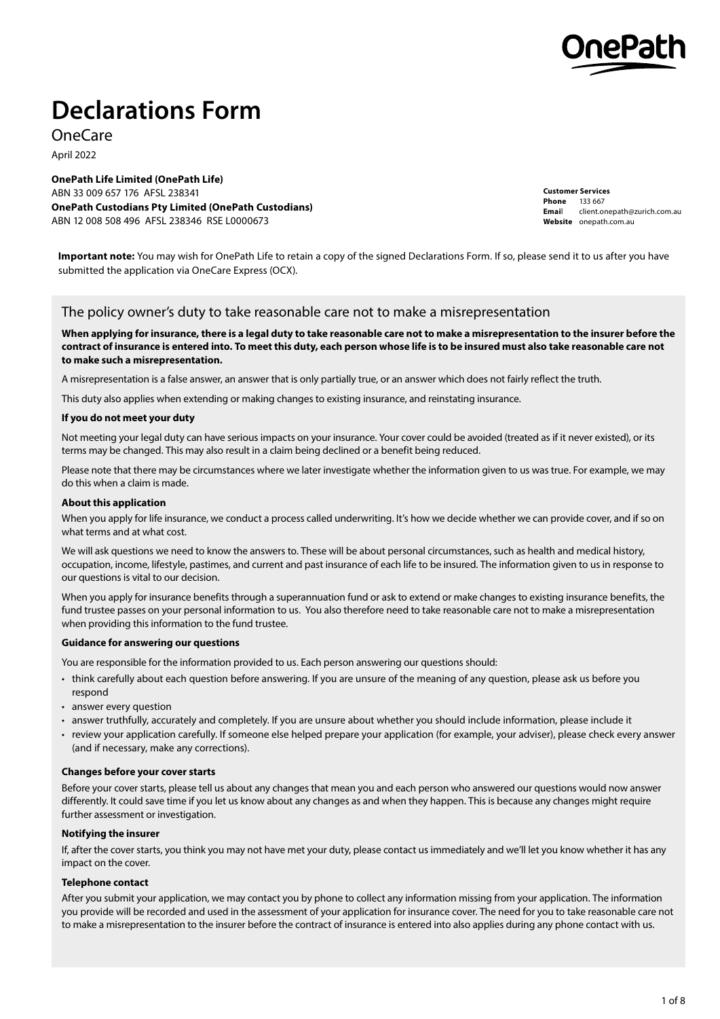

# **Declarations Form**

OneCare

April 2022

**OnePath Life Limited (OnePath Life)** ABN 33 009 657 176 AFSL 238341 **OnePath Custodians Pty Limited (OnePath Custodians)** ABN 12 008 508 496 AFSL 238346 RSE L0000673

**Customer Services Phone** 133 667 **Emai**l client.onepath@zurich.com.au Website [onepath.com.au](http://www.onepath.com.au).

**Important note:** You may wish for OnePath Life to retain a copy of the signed Declarations Form. If so, please send it to us after you have submitted the application via OneCare Express (OCX).

### The policy owner's duty to take reasonable care not to make a misrepresentation

**When applying for insurance, there is a legal duty to take reasonable care not to make a misrepresentation to the insurer before the contract of insurance is entered into. To meet this duty, each person whose life is to be insured must also take reasonable care not to make such a misrepresentation.**

A misrepresentation is a false answer, an answer that is only partially true, or an answer which does not fairly reflect the truth.

This duty also applies when extending or making changes to existing insurance, and reinstating insurance.

#### **If you do not meet your duty**

Not meeting your legal duty can have serious impacts on your insurance. Your cover could be avoided (treated as if it never existed), or its terms may be changed. This may also result in a claim being declined or a benefit being reduced.

Please note that there may be circumstances where we later investigate whether the information given to us was true. For example, we may do this when a claim is made.

#### **About this application**

When you apply for life insurance, we conduct a process called underwriting. It's how we decide whether we can provide cover, and if so on what terms and at what cost.

We will ask questions we need to know the answers to. These will be about personal circumstances, such as health and medical history. occupation, income, lifestyle, pastimes, and current and past insurance of each life to be insured. The information given to us in response to our questions is vital to our decision.

When you apply for insurance benefits through a superannuation fund or ask to extend or make changes to existing insurance benefits, the fund trustee passes on your personal information to us. You also therefore need to take reasonable care not to make a misrepresentation when providing this information to the fund trustee.

#### **Guidance for answering our questions**

You are responsible for the information provided to us. Each person answering our questions should:

- think carefully about each question before answering. If you are unsure of the meaning of any question, please ask us before you respond
- answer every question
- answer truthfully, accurately and completely. If you are unsure about whether you should include information, please include it
- review your application carefully. If someone else helped prepare your application (for example, your adviser), please check every answer (and if necessary, make any corrections).

#### **Changes before your cover starts**

Before your cover starts, please tell us about any changes that mean you and each person who answered our questions would now answer differently. It could save time if you let us know about any changes as and when they happen. This is because any changes might require further assessment or investigation.

#### **Notifying the insurer**

If, after the cover starts, you think you may not have met your duty, please contact us immediately and we'll let you know whether it has any impact on the cover.

#### **Telephone contact**

After you submit your application, we may contact you by phone to collect any information missing from your application. The information you provide will be recorded and used in the assessment of your application for insurance cover. The need for you to take reasonable care not to make a misrepresentation to the insurer before the contract of insurance is entered into also applies during any phone contact with us.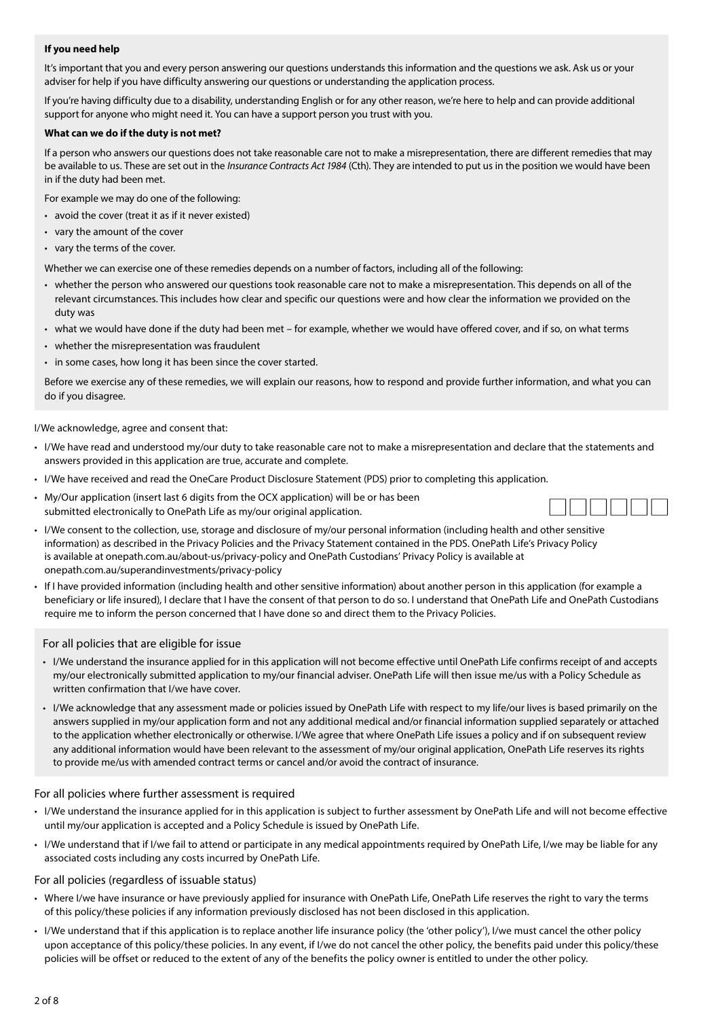#### **If you need help**

It's important that you and every person answering our questions understands this information and the questions we ask. Ask us or your adviser for help if you have difficulty answering our questions or understanding the application process.

If you're having difficulty due to a disability, understanding English or for any other reason, we're here to help and can provide additional support for anyone who might need it. You can have a support person you trust with you.

#### **What can we do if the duty is not met?**

If a person who answers our questions does not take reasonable care not to make a misrepresentation, there are different remedies that may be available to us. These are set out in the *Insurance Contracts Act 1984* (Cth). They are intended to put us in the position we would have been in if the duty had been met.

For example we may do one of the following:

- avoid the cover (treat it as if it never existed)
- vary the amount of the cover
- vary the terms of the cover.

Whether we can exercise one of these remedies depends on a number of factors, including all of the following:

- whether the person who answered our questions took reasonable care not to make a misrepresentation. This depends on all of the relevant circumstances. This includes how clear and specific our questions were and how clear the information we provided on the duty was
- what we would have done if the duty had been met for example, whether we would have offered cover, and if so, on what terms
- whether the misrepresentation was fraudulent
- in some cases, how long it has been since the cover started.

Before we exercise any of these remedies, we will explain our reasons, how to respond and provide further information, and what you can do if you disagree.

I/We acknowledge, agree and consent that:

- I/We have read and understood my/our duty to take reasonable care not to make a misrepresentation and declare that the statements and answers provided in this application are true, accurate and complete.
- I/We have received and read the OneCare Product Disclosure Statement (PDS) prior to completing this application.
- My/Our application (insert last 6 digits from the OCX application) will be or has been submitted electronically to OnePath Life as my/our original application.



- I/We consent to the collection, use, storage and disclosure of my/our personal information (including health and other sensitive information) as described in the Privacy Policies and the Privacy Statement contained in the PDS. OnePath Life's Privacy Policy is available at <onepath.com.au/about-us/privacy-policy> and OnePath Custodians' Privacy Policy is available at <onepath.com.au/superandinvestments/privacy-policy>
- If I have provided information (including health and other sensitive information) about another person in this application (for example a beneficiary or life insured), I declare that I have the consent of that person to do so. I understand that OnePath Life and OnePath Custodians require me to inform the person concerned that I have done so and direct them to the Privacy Policies.

For all policies that are eligible for issue

- I/We understand the insurance applied for in this application will not become effective until OnePath Life confirms receipt of and accepts my/our electronically submitted application to my/our financial adviser. OnePath Life will then issue me/us with a Policy Schedule as written confirmation that I/we have cover.
- I/We acknowledge that any assessment made or policies issued by OnePath Life with respect to my life/our lives is based primarily on the answers supplied in my/our application form and not any additional medical and/or financial information supplied separately or attached to the application whether electronically or otherwise. I/We agree that where OnePath Life issues a policy and if on subsequent review any additional information would have been relevant to the assessment of my/our original application, OnePath Life reserves its rights to provide me/us with amended contract terms or cancel and/or avoid the contract of insurance.

#### For all policies where further assessment is required

- I/We understand the insurance applied for in this application is subject to further assessment by OnePath Life and will not become effective until my/our application is accepted and a Policy Schedule is issued by OnePath Life.
- I/We understand that if I/we fail to attend or participate in any medical appointments required by OnePath Life, I/we may be liable for any associated costs including any costs incurred by OnePath Life.

#### For all policies (regardless of issuable status)

- Where I/we have insurance or have previously applied for insurance with OnePath Life, OnePath Life reserves the right to vary the terms of this policy/these policies if any information previously disclosed has not been disclosed in this application.
- I/We understand that if this application is to replace another life insurance policy (the 'other policy'), I/we must cancel the other policy upon acceptance of this policy/these policies. In any event, if I/we do not cancel the other policy, the benefits paid under this policy/these policies will be offset or reduced to the extent of any of the benefits the policy owner is entitled to under the other policy.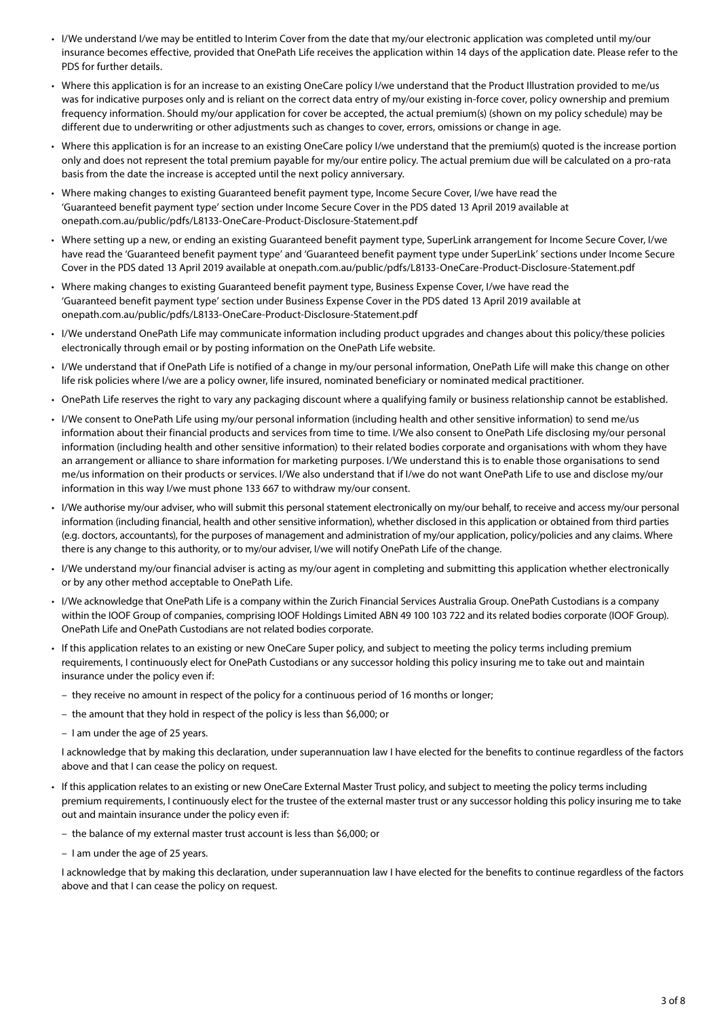- I/We understand I/we may be entitled to Interim Cover from the date that my/our electronic application was completed until my/our insurance becomes effective, provided that OnePath Life receives the application within 14 days of the application date. Please refer to the PDS for further details.
- Where this application is for an increase to an existing OneCare policy I/we understand that the Product Illustration provided to me/us was for indicative purposes only and is reliant on the correct data entry of my/our existing in-force cover, policy ownership and premium frequency information. Should my/our application for cover be accepted, the actual premium(s) (shown on my policy schedule) may be different due to underwriting or other adjustments such as changes to cover, errors, omissions or change in age.
- Where this application is for an increase to an existing OneCare policy I/we understand that the premium(s) quoted is the increase portion only and does not represent the total premium payable for my/our entire policy. The actual premium due will be calculated on a pro-rata basis from the date the increase is accepted until the next policy anniversary.
- Where making changes to existing Guaranteed benefit payment type, Income Secure Cover, I/we have read the 'Guaranteed benefit payment type' section under Income Secure Cover in the PDS dated 13 April 2019 available at <onepath.com.au/public/pdfs/L8133-OneCare-Product-Disclosure-Statement.pdf>
- Where setting up a new, or ending an existing Guaranteed benefit payment type, SuperLink arrangement for Income Secure Cover, I/we have read the 'Guaranteed benefit payment type' and 'Guaranteed benefit payment type under SuperLink' sections under Income Secure Cover in the PDS dated 13 April 2019 available at <onepath.com.au/public/pdfs/L8133-OneCare-Product-Disclosure-Statement.pdf>
- Where making changes to existing Guaranteed benefit payment type, Business Expense Cover, I/we have read the 'Guaranteed benefit payment type' section under Business Expense Cover in the PDS dated 13 April 2019 available at <onepath.com.au/public/pdfs/L8133-OneCare-Product-Disclosure-Statement.pdf>
- I/We understand OnePath Life may communicate information including product upgrades and changes about this policy/these policies electronically through email or by posting information on the OnePath Life website.
- I/We understand that if OnePath Life is notified of a change in my/our personal information, OnePath Life will make this change on other life risk policies where I/we are a policy owner, life insured, nominated beneficiary or nominated medical practitioner.
- OnePath Life reserves the right to vary any packaging discount where a qualifying family or business relationship cannot be established.
- I/We consent to OnePath Life using my/our personal information (including health and other sensitive information) to send me/us information about their financial products and services from time to time. I/We also consent to OnePath Life disclosing my/our personal information (including health and other sensitive information) to their related bodies corporate and organisations with whom they have an arrangement or alliance to share information for marketing purposes. I/We understand this is to enable those organisations to send me/us information on their products or services. I/We also understand that if I/we do not want OnePath Life to use and disclose my/our information in this way I/we must phone 133 667 to withdraw my/our consent.
- I/We authorise my/our adviser, who will submit this personal statement electronically on my/our behalf, to receive and access my/our personal information (including financial, health and other sensitive information), whether disclosed in this application or obtained from third parties (e.g. doctors, accountants), for the purposes of management and administration of my/our application, policy/policies and any claims. Where there is any change to this authority, or to my/our adviser, I/we will notify OnePath Life of the change.
- I/We understand my/our financial adviser is acting as my/our agent in completing and submitting this application whether electronically or by any other method acceptable to OnePath Life.
- I/We acknowledge that OnePath Life is a company within the Zurich Financial Services Australia Group. OnePath Custodians is a company within the IOOF Group of companies, comprising IOOF Holdings Limited ABN 49 100 103 722 and its related bodies corporate (IOOF Group). OnePath Life and OnePath Custodians are not related bodies corporate.
- If this application relates to an existing or new OneCare Super policy, and subject to meeting the policy terms including premium requirements, I continuously elect for OnePath Custodians or any successor holding this policy insuring me to take out and maintain insurance under the policy even if:
	- they receive no amount in respect of the policy for a continuous period of 16 months or longer;
	- the amount that they hold in respect of the policy is less than \$6,000; or
	- I am under the age of 25 years.

I acknowledge that by making this declaration, under superannuation law I have elected for the benefits to continue regardless of the factors above and that I can cease the policy on request.

- If this application relates to an existing or new OneCare External Master Trust policy, and subject to meeting the policy terms including premium requirements, I continuously elect for the trustee of the external master trust or any successor holding this policy insuring me to take out and maintain insurance under the policy even if:
	- the balance of my external master trust account is less than \$6,000; or
	- I am under the age of 25 years.

I acknowledge that by making this declaration, under superannuation law I have elected for the benefits to continue regardless of the factors above and that I can cease the policy on request.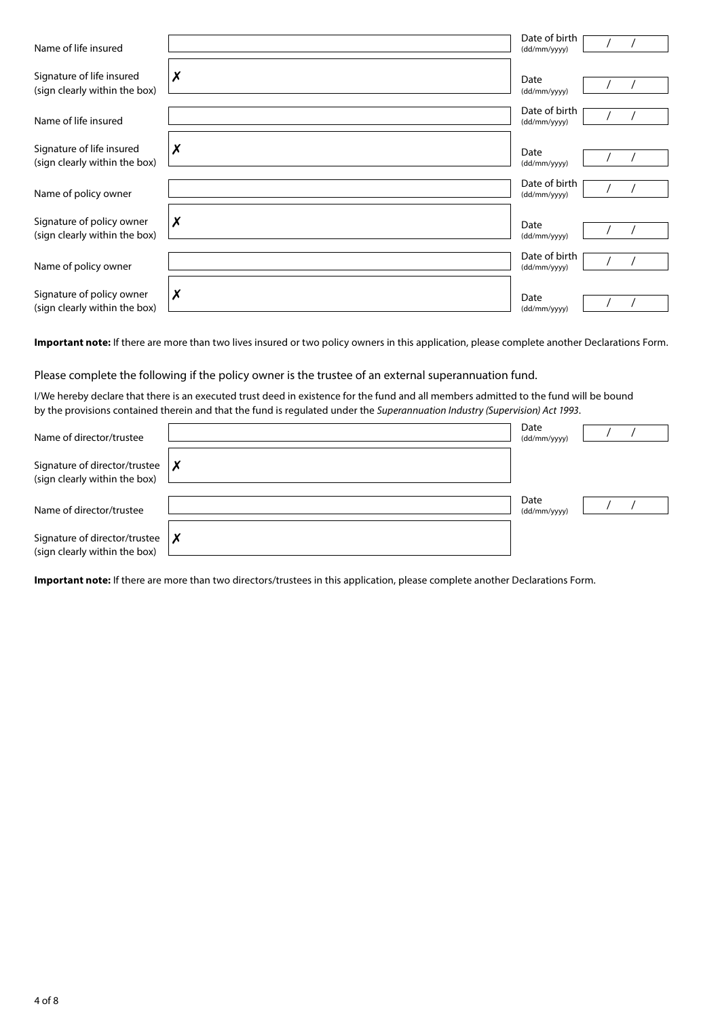| Name of life insured                                       |   | Date of birth<br>(dd/mm/yyyy) |
|------------------------------------------------------------|---|-------------------------------|
| Signature of life insured<br>(sign clearly within the box) | X | Date<br>(dd/mm/yyyy)          |
| Name of life insured                                       |   | Date of birth<br>(dd/mm/yyyy) |
| Signature of life insured<br>(sign clearly within the box) | Х | Date<br>(dd/mm/yyyy)          |
| Name of policy owner                                       |   | Date of birth<br>(dd/mm/yyyy) |
| Signature of policy owner<br>(sign clearly within the box) | Х | Date<br>(dd/mm/yyyy)          |
| Name of policy owner                                       |   | Date of birth<br>(dd/mm/yyyy) |
| Signature of policy owner<br>(sign clearly within the box) | Х | Date<br>(dd/mm/yyyy)          |

**Important note:** If there are more than two lives insured or two policy owners in this application, please complete another Declarations Form.

Please complete the following if the policy owner is the trustee of an external superannuation fund.

I/We hereby declare that there is an executed trust deed in existence for the fund and all members admitted to the fund will be bound by the provisions contained therein and that the fund is regulated under the *Superannuation Industry (Supervision) Act 1993*.

| Name of director/trustee                                       |              | Date<br>(dd/mm/yyyy) |  |
|----------------------------------------------------------------|--------------|----------------------|--|
| Signature of director/trustee<br>(sign clearly within the box) | $\mathsf{I}$ |                      |  |
| Name of director/trustee                                       |              | Date<br>(dd/mm/yyyy) |  |
| Signature of director/trustee<br>(sign clearly within the box) |              |                      |  |

**Important note:** If there are more than two directors/trustees in this application, please complete another Declarations Form.